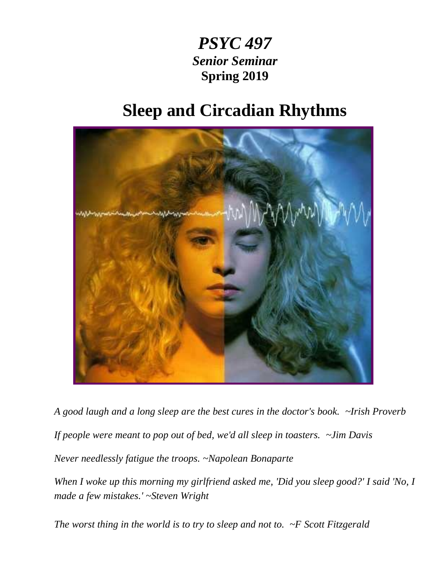# *PSYC 497 Senior Seminar* **Spring 2019**

# **Sleep and Circadian Rhythms**



*A good laugh and a long sleep are the best cures in the doctor's book. ~Irish Proverb If people were meant to pop out of bed, we'd all sleep in toasters. ~Jim Davis Never needlessly fatigue the troops. ~Napolean Bonaparte*

**PSYC 497** Sleep and Circadian Rhythms *made a few mistakes.' ~Steven Wright When I woke up this morning my girlfriend asked me, 'Did you sleep good?' I said 'No, I* 

*The worst thing in the world is to try to sleep and not to. ~F Scott Fitzgerald*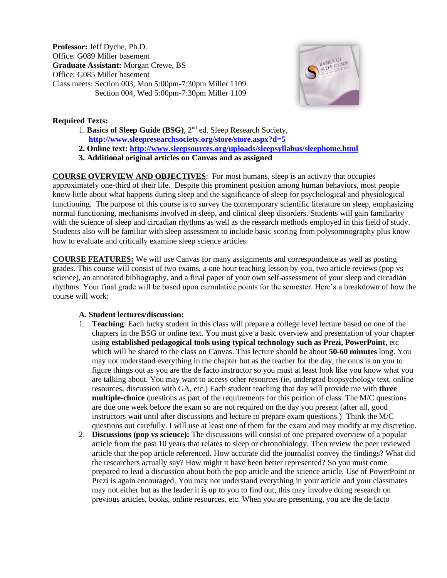**Professor:** Jeff Dyche, Ph.D. Office: G089 Miller basement **Graduate Assistant:** Morgan Crewe, BS Office: G085 Miller basement Class meets: Section 003, Mon 5:00pm-7:30pm Miller 1109 Section 004, Wed 5:00pm-7:30pm Miller 1109



# **Required Texts:**

- 1. **Basics of Sleep Guide** (BSG), 2<sup>nd</sup> ed. Sleep Research Society, **<http://www.sleepresearchsociety.org/store/store.aspx?d=5>**
- **2. Online text[: http://www.sleepsources.org/uploads/sleepsyllabus/sleephome.html](http://www.sleepsources.org/uploads/sleepsyllabus/sleephome.html)**
- **3. Additional original articles on Canvas and as assigned**

**COURSE OVERVIEW AND OBJECTIVES**: For most humans, sleep is an activity that occupies approximately one-third of their life. Despite this prominent position among human behaviors, most people know little about what happens during sleep and the significance of sleep for psychological and physiological functioning. The purpose of this course is to survey the contemporary scientific literature on sleep, emphasizing normal functioning, mechanisms involved in sleep, and clinical sleep disorders. Students will gain familiarity with the science of sleep and circadian rhythms as well as the research methods employed in this field of study. Students also will be familiar with sleep assessment to include basic scoring from polysomnography plus know how to evaluate and critically examine sleep science articles.

**COURSE FEATURES:** We will use Canvas for many assignments and correspondence as well as posting grades. This course will consist of two exams, a one hour teaching lesson by you, two article reviews (pop vs science), an annotated bibliography, and a final paper of your own self-assessment of your sleep and circadian rhythms. Your final grade will be based upon cumulative points for the semester. Here's a breakdown of how the course will work:

# **A. Student lectures/discussion:**

- 1. **Teaching**: Each lucky student in this class will prepare a college level lecture based on one of the chapters in the BSG or online text. You must give a basic overview and presentation of your chapter using **established pedagogical tools using typical technology such as Prezi, PowerPoint**, etc which will be shared to the class on Canvas. This lecture should be about **50-60 minutes** long. You may not understand everything in the chapter but as the teacher for the day, the onus is on you to figure things out as you are the de facto instructor so you must at least look like you know what you are talking about. You may want to access other resources (ie, undergrad biopsychology text, online resources, discussion with GA, etc.) Each student teaching that day will provide me with **three multiple-choice** questions as part of the requirements for this portion of class. The M/C questions are due one week before the exam so are not required on the day you present (after all, good instructors wait until after discussions and lecture to prepare exam questions.) Think the M/C questions out carefully. I will use at least one of them for the exam and may modify at my discretion.
- 2. **Discussions (pop vs science):** The discussions will consist of one prepared overview of a popular article from the past 10 years that relates to sleep or chronobiology. Then review the peer reviewed article that the pop article referenced. How accurate did the journalist convey the findings? What did the researchers actually say? How might it have been better represented? So you must come prepared to lead a discussion about both the pop article and the science article. Use of PowerPoint or Prezi is again encouraged. You may not understand everything in your article and your classmates may not either but as the leader it is up to you to find out, this may involve doing research on previous articles, books, online resources, etc. When you are presenting, you are the de facto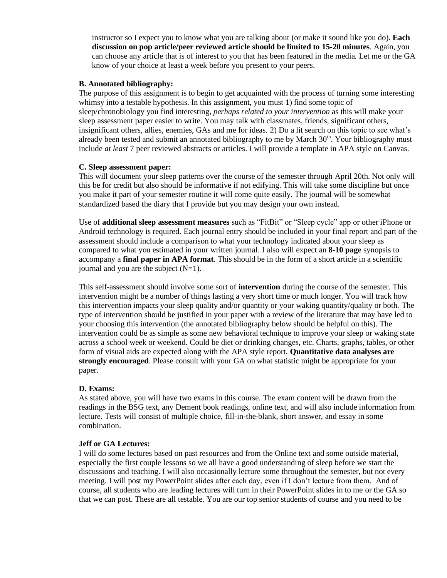instructor so I expect you to know what you are talking about (or make it sound like you do). **Each discussion on pop article/peer reviewed article should be limited to 15-20 minutes**. Again, you can choose any article that is of interest to you that has been featured in the media. Let me or the GA know of your choice at least a week before you present to your peers.

#### **B. Annotated bibliography:**

The purpose of this assignment is to begin to get acquainted with the process of turning some interesting whimsy into a testable hypothesis. In this assignment, you must 1) find some topic of sleep/chronobiology you find interesting, *perhaps related to your intervention* as this will make your sleep assessment paper easier to write. You may talk with classmates, friends, significant others, insignificant others, allies, enemies, GAs and me for ideas. 2) Do a lit search on this topic to see what's already been tested and submit an annotated bibliography to me by March  $30<sup>th</sup>$ . Your bibliography must include *at least* 7 peer reviewed abstracts or articles. I will provide a template in APA style on Canvas.

#### **C. Sleep assessment paper:**

This will document your sleep patterns over the course of the semester through April 20th. Not only will this be for credit but also should be informative if not edifying. This will take some discipline but once you make it part of your semester routine it will come quite easily. The journal will be somewhat standardized based the diary that I provide but you may design your own instead.

Use of **additional sleep assessment measures** such as "FitBit" or "Sleep cycle" app or other iPhone or Android technology is required. Each journal entry should be included in your final report and part of the assessment should include a comparison to what your technology indicated about your sleep as compared to what you estimated in your written journal. I also will expect an **8-10 page** synopsis to accompany a **final paper in APA format**. This should be in the form of a short article in a scientific journal and you are the subject  $(N=1)$ .

This self-assessment should involve some sort of **intervention** during the course of the semester. This intervention might be a number of things lasting a very short time or much longer. You will track how this intervention impacts your sleep quality and/or quantity or your waking quantity/quality or both. The type of intervention should be justified in your paper with a review of the literature that may have led to your choosing this intervention (the annotated bibliography below should be helpful on this). The intervention could be as simple as some new behavioral technique to improve your sleep or waking state across a school week or weekend. Could be diet or drinking changes, etc. Charts, graphs, tables, or other form of visual aids are expected along with the APA style report. **Quantitative data analyses are strongly encouraged**. Please consult with your GA on what statistic might be appropriate for your paper.

#### **D. Exams:**

As stated above, you will have two exams in this course. The exam content will be drawn from the readings in the BSG text, any Dement book readings, online text, and will also include information from lecture. Tests will consist of multiple choice, fill-in-the-blank, short answer, and essay in some combination.

#### **Jeff or GA Lectures:**

I will do some lectures based on past resources and from the Online text and some outside material, especially the first couple lessons so we all have a good understanding of sleep before we start the discussions and teaching. I will also occasionally lecture some throughout the semester, but not every meeting. I will post my PowerPoint slides after each day, even if I don't lecture from them. And of course, all students who are leading lectures will turn in their PowerPoint slides in to me or the GA so that we can post. These are all testable. You are our top senior students of course and you need to be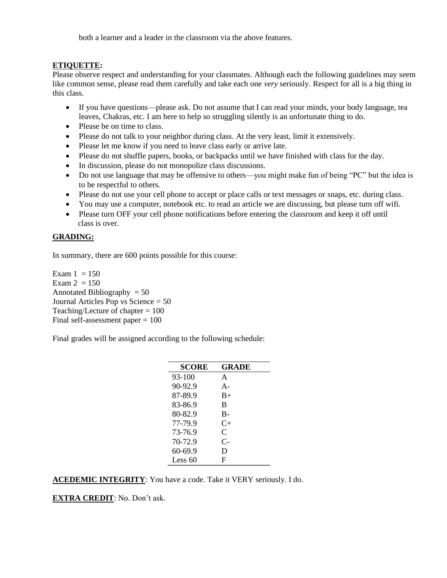both a learner and a leader in the classroom via the above features.

#### **ETIQUETTE:**

Please observe respect and understanding for your classmates. Although each the following guidelines may seem like common sense, please read them carefully and take each one *very* seriously. Respect for all is a big thing in this class.

- If you have questions—please ask. Do not assume that I can read your minds, your body language, tea leaves, Chakras, etc. I am here to help so struggling silently is an unfortunate thing to do.
- Please be on time to class.
- Please do not talk to your neighbor during class. At the very least, limit it extensively.
- Please let me know if you need to leave class early or arrive late.
- Please do not shuffle papers, books, or backpacks until we have finished with class for the day.
- In discussion, please do not monopolize class discussions.
- Do not use language that may be offensive to others—you might make fun of being "PC" but the idea is to be respectful to others.
- Please do not use your cell phone to accept or place calls or text messages or snaps, etc. during class.
- You may use a computer, notebook etc. to read an article we are discussing, but please turn off wifi.
- Please turn OFF your cell phone notifications before entering the classroom and keep it off until class is over.

# **GRADING:**

In summary, there are 600 points possible for this course:

Exam  $1 = 150$ Exam  $2 = 150$ Annotated Bibliography  $= 50$ Journal Articles Pop vs Science = 50 Teaching/Lecture of chapter = 100 Final self-assessment paper = 100

Final grades will be assigned according to the following schedule:

| SCORE       | GRADE     |
|-------------|-----------|
| 93-100      | A         |
| $90 - 92.9$ | $A -$     |
| 87-89.9     | $B+$      |
| 83-86.9     | B         |
| 80-82.9     | B-        |
| 77-79.9     | $C_{\pm}$ |
| 73-76.9     | C         |
| 70-72.9     | $C-$      |
| 60-69.9     | D         |
| Less $60$   | F         |

#### **ACEDEMIC INTEGRITY**: You have a code. Take it VERY seriously. I do.

**EXTRA CREDIT**: No. Don't ask.